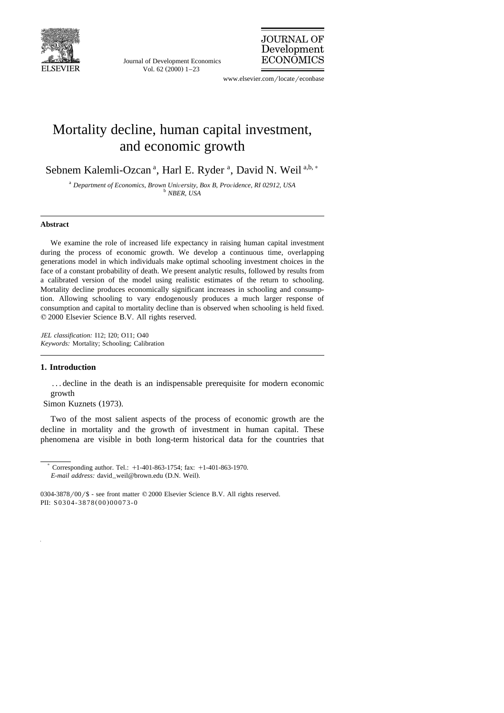

Journal of Development Economics Vol. 62  $(2000)$  1-23

**JOURNAL OF** Development **ECONOMICS** 

www.elsevier.com/locate/econbase

## Mortality decline, human capital investment, and economic growth

Sebnem Kalemli-Ozcan<sup>a</sup>, Harl E. Ryder<sup>a</sup>, David N. Weil<sup>a,b,\*</sup>

<sup>a</sup> *Department of Economics, Brown University, Box B, Providence, RI 02912, USA b NBER, USA* 

## **Abstract**

We examine the role of increased life expectancy in raising human capital investment during the process of economic growth. We develop a continuous time, overlapping generations model in which individuals make optimal schooling investment choices in the face of a constant probability of death. We present analytic results, followed by results from a calibrated version of the model using realistic estimates of the return to schooling. Mortality decline produces economically significant increases in schooling and consumption. Allowing schooling to vary endogenously produces a much larger response of consumption and capital to mortality decline than is observed when schooling is held fixed.  $© 2000 Elsevier Science B.V. All rights reserved.$ 

*JEL classification:* I12; I20; O11; O40 *Keywords:* Mortality; Schooling; Calibration

## **1. Introduction**

. . . decline in the death is an indispensable prerequisite for modern economic growth

Simon Kuznets (1973).

Two of the most salient aspects of the process of economic growth are the decline in mortality and the growth of investment in human capital. These phenomena are visible in both long-term historical data for the countries that

 $*$  Corresponding author. Tel.:  $+1-401-863-1754$ ; fax:  $+1-401-863-1970$ . *E-mail address:* david\_weil@brown.edu (D.N. Weil).

<sup>0304-3878/00/\$ -</sup> see front matter ©2000 Elsevier Science B.V. All rights reserved. PII: S0304-3878(00)00073-0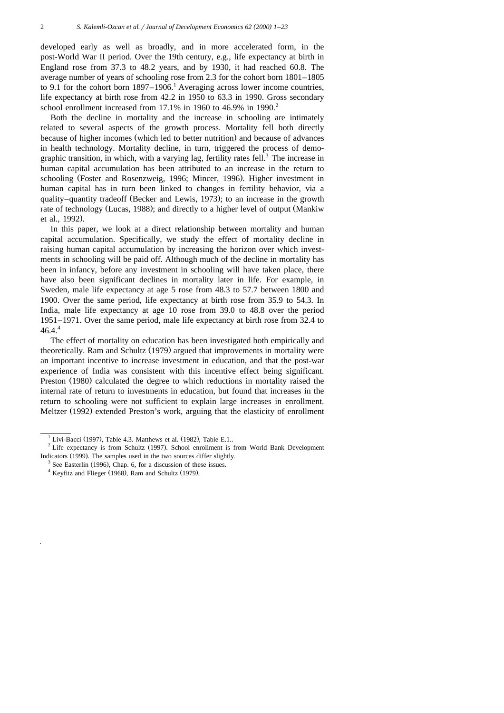developed early as well as broadly, and in more accelerated form, in the post-World War II period. Over the 19th century, e.g., life expectancy at birth in England rose from 37.3 to 48.2 years, and by 1930, it had reached 60.8. The average number of years of schooling rose from 2.3 for the cohort born 1801–1805 to 9.1 for the cohort born  $1897-1906$ .<sup>1</sup> Averaging across lower income countries, life expectancy at birth rose from 42.2 in 1950 to 63.3 in 1990. Gross secondary school enrollment increased from  $17.1\%$  in 1960 to 46.9% in 1990.<sup>2</sup>

Both the decline in mortality and the increase in schooling are intimately related to several aspects of the growth process. Mortality fell both directly because of higher incomes (which led to better nutrition) and because of advances in health technology. Mortality decline, in turn, triggered the process of demographic transition, in which, with a varying lag, fertility rates fell.<sup>3</sup> The increase in human capital accumulation has been attributed to an increase in the return to schooling (Foster and Rosenzweig, 1996; Mincer, 1996). Higher investment in human capital has in turn been linked to changes in fertility behavior, via a quality–quantity tradeoff (Becker and Lewis, 1973); to an increase in the growth rate of technology (Lucas, 1988); and directly to a higher level of output (Mankiw et al., 1992).

In this paper, we look at a direct relationship between mortality and human capital accumulation. Specifically, we study the effect of mortality decline in raising human capital accumulation by increasing the horizon over which investments in schooling will be paid off. Although much of the decline in mortality has been in infancy, before any investment in schooling will have taken place, there have also been significant declines in mortality later in life. For example, in Sweden, male life expectancy at age 5 rose from 48.3 to 57.7 between 1800 and 1900. Over the same period, life expectancy at birth rose from 35.9 to 54.3. In India, male life expectancy at age 10 rose from 39.0 to 48.8 over the period 1951–1971. Over the same period, male life expectancy at birth rose from 32.4 to  $46.4^{4}$ 

The effect of mortality on education has been investigated both empirically and theoretically. Ram and Schultz (1979) argued that improvements in mortality were an important incentive to increase investment in education, and that the post-war experience of India was consistent with this incentive effect being significant. Preston (1980) calculated the degree to which reductions in mortality raised the internal rate of return to investments in education, but found that increases in the return to schooling were not sufficient to explain large increases in enrollment. Meltzer (1992) extended Preston's work, arguing that the elasticity of enrollment

<sup>&</sup>lt;sup>1</sup> Livi-Bacci (1997), Table 4.3. Matthews et al. (1982), Table E.1.. <sup>2</sup> Life expectancy is from Schultz (1997). School enrollment is from World Bank Development Indicators (1999). The samples used in the two sources differ slightly.<br><sup>3</sup> See Easterlin (1996), Chap. 6, for a discussion of these issues.<br><sup>4</sup> Keyfitz and Flieger (1968), Ram and Schultz (1979).